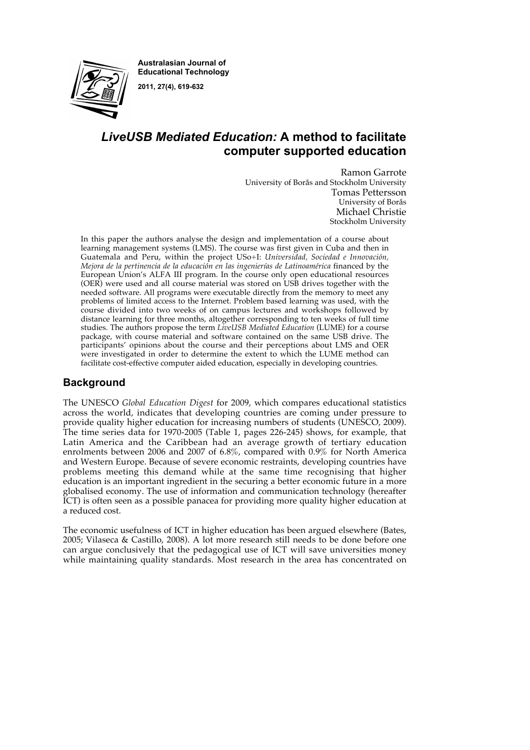**Australasian Journal of Educational Technology 2011, 27(4), 619-632**



# *LiveUSB Mediated Education:* **A method to facilitate computer supported education**

Ramon Garrote

University of Borås and Stockholm University Tomas Pettersson University of Borås Michael Christie Stockholm University

In this paper the authors analyse the design and implementation of a course about learning management systems (LMS). The course was first given in Cuba and then in Guatemala and Peru, within the project USo+I: *Universidad, Sociedad e Innovación, Mejora de la pertinencia de la educación en las ingenierías de Latinoamérica* financed by the European Union's ALFA III program. In the course only open educational resources (OER) were used and all course material was stored on USB drives together with the needed software. All programs were executable directly from the memory to meet any problems of limited access to the Internet. Problem based learning was used, with the course divided into two weeks of on campus lectures and workshops followed by distance learning for three months, altogether corresponding to ten weeks of full time studies. The authors propose the term *LiveUSB Mediated Education* (LUME) for a course package, with course material and software contained on the same USB drive. The participants' opinions about the course and their perceptions about LMS and OER were investigated in order to determine the extent to which the LUME method can facilitate cost-effective computer aided education, especially in developing countries.

## **Background**

The UNESCO *Global Education Digest* for 2009, which compares educational statistics across the world, indicates that developing countries are coming under pressure to provide quality higher education for increasing numbers of students (UNESCO, 2009). The time series data for 1970-2005 (Table 1, pages 226-245) shows, for example, that Latin America and the Caribbean had an average growth of tertiary education enrolments between 2006 and 2007 of 6.8%, compared with 0.9% for North America and Western Europe. Because of severe economic restraints, developing countries have problems meeting this demand while at the same time recognising that higher education is an important ingredient in the securing a better economic future in a more globalised economy. The use of information and communication technology (hereafter ICT) is often seen as a possible panacea for providing more quality higher education at a reduced cost.

The economic usefulness of ICT in higher education has been argued elsewhere (Bates, 2005; Vilaseca & Castillo, 2008). A lot more research still needs to be done before one can argue conclusively that the pedagogical use of ICT will save universities money while maintaining quality standards. Most research in the area has concentrated on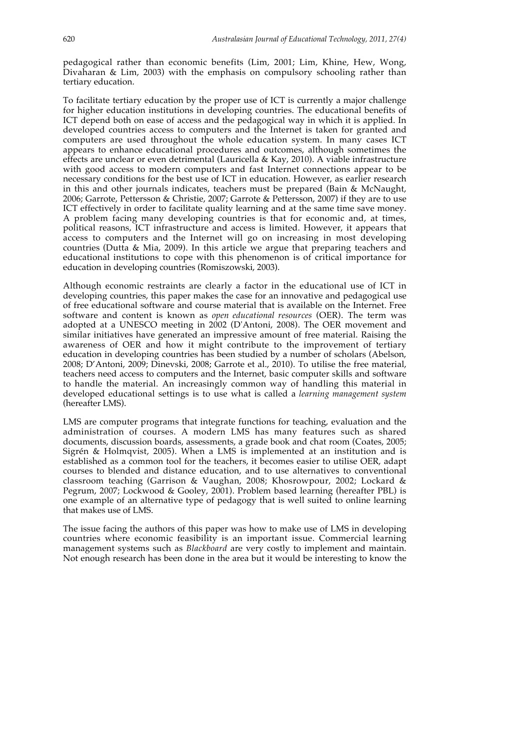pedagogical rather than economic benefits (Lim, 2001; Lim, Khine, Hew, Wong, Divaharan & Lim, 2003) with the emphasis on compulsory schooling rather than tertiary education.

To facilitate tertiary education by the proper use of ICT is currently a major challenge for higher education institutions in developing countries. The educational benefits of ICT depend both on ease of access and the pedagogical way in which it is applied. In developed countries access to computers and the Internet is taken for granted and computers are used throughout the whole education system. In many cases ICT appears to enhance educational procedures and outcomes, although sometimes the effects are unclear or even detrimental (Lauricella & Kay, 2010). A viable infrastructure with good access to modern computers and fast Internet connections appear to be necessary conditions for the best use of ICT in education. However, as earlier research in this and other journals indicates, teachers must be prepared (Bain & McNaught, 2006; Garrote, Pettersson & Christie, 2007; Garrote & Pettersson, 2007) if they are to use ICT effectively in order to facilitate quality learning and at the same time save money. A problem facing many developing countries is that for economic and, at times, political reasons, ICT infrastructure and access is limited. However, it appears that access to computers and the Internet will go on increasing in most developing countries (Dutta & Mia, 2009). In this article we argue that preparing teachers and educational institutions to cope with this phenomenon is of critical importance for education in developing countries (Romiszowski, 2003).

Although economic restraints are clearly a factor in the educational use of ICT in developing countries, this paper makes the case for an innovative and pedagogical use of free educational software and course material that is available on the Internet. Free software and content is known as *open educational resources* (OER). The term was adopted at a UNESCO meeting in 2002 (D'Antoni, 2008). The OER movement and similar initiatives have generated an impressive amount of free material. Raising the awareness of OER and how it might contribute to the improvement of tertiary education in developing countries has been studied by a number of scholars (Abelson, 2008; D'Antoni, 2009; Dinevski, 2008; Garrote et al., 2010). To utilise the free material, teachers need access to computers and the Internet, basic computer skills and software to handle the material. An increasingly common way of handling this material in developed educational settings is to use what is called a *learning management system* (hereafter LMS).

LMS are computer programs that integrate functions for teaching, evaluation and the administration of courses. A modern LMS has many features such as shared documents, discussion boards, assessments, a grade book and chat room (Coates, 2005; Sigrén & Holmqvist, 2005). When a LMS is implemented at an institution and is established as a common tool for the teachers, it becomes easier to utilise OER, adapt courses to blended and distance education, and to use alternatives to conventional classroom teaching (Garrison & Vaughan, 2008; Khosrowpour, 2002; Lockard & Pegrum, 2007; Lockwood & Gooley, 2001). Problem based learning (hereafter PBL) is one example of an alternative type of pedagogy that is well suited to online learning that makes use of LMS.

The issue facing the authors of this paper was how to make use of LMS in developing countries where economic feasibility is an important issue. Commercial learning management systems such as *Blackboard* are very costly to implement and maintain. Not enough research has been done in the area but it would be interesting to know the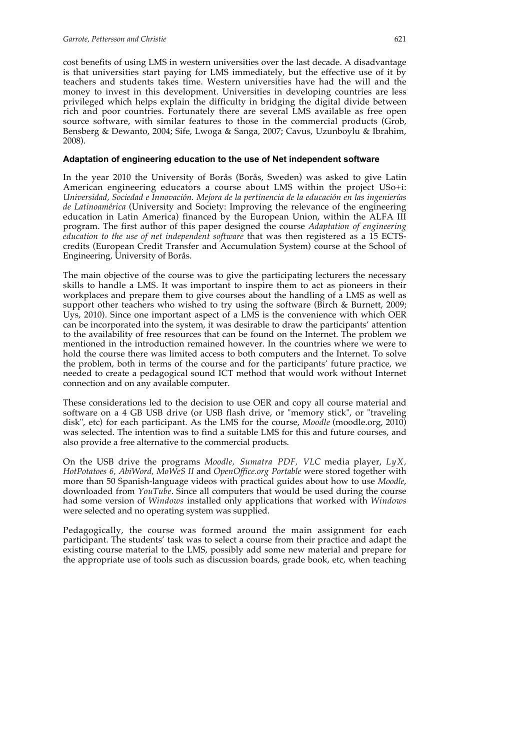cost benefits of using LMS in western universities over the last decade. A disadvantage is that universities start paying for LMS immediately, but the effective use of it by teachers and students takes time. Western universities have had the will and the money to invest in this development. Universities in developing countries are less privileged which helps explain the difficulty in bridging the digital divide between rich and poor countries. Fortunately there are several LMS available as free open source software, with similar features to those in the commercial products (Grob, Bensberg & Dewanto, 2004; Sife, Lwoga & Sanga, 2007; Cavus, Uzunboylu & Ibrahim, 2008).

#### **Adaptation of engineering education to the use of Net independent software**

In the year 2010 the University of Borås (Borås, Sweden) was asked to give Latin American engineering educators a course about LMS within the project USo+i: *Universidad, Sociedad e Innovación. Mejora de la pertinencia de la educación en las ingenierías de Latinoamérica* (University and Society: Improving the relevance of the engineering education in Latin America) financed by the European Union, within the ALFA III program. The first author of this paper designed the course *Adaptation of engineering education to the use of net independent software* that was then registered as a 15 ECTScredits (European Credit Transfer and Accumulation System) course at the School of Engineering, University of Borås.

The main objective of the course was to give the participating lecturers the necessary skills to handle a LMS. It was important to inspire them to act as pioneers in their workplaces and prepare them to give courses about the handling of a LMS as well as support other teachers who wished to try using the software (Birch & Burnett, 2009; Uys, 2010). Since one important aspect of a LMS is the convenience with which OER can be incorporated into the system, it was desirable to draw the participants' attention to the availability of free resources that can be found on the Internet. The problem we mentioned in the introduction remained however. In the countries where we were to hold the course there was limited access to both computers and the Internet. To solve the problem, both in terms of the course and for the participants' future practice, we needed to create a pedagogical sound ICT method that would work without Internet connection and on any available computer.

These considerations led to the decision to use OER and copy all course material and software on a 4 GB USB drive (or USB flash drive, or "memory stick", or "traveling disk", etc) for each participant. As the LMS for the course, *Moodle* (moodle.org, 2010) was selected. The intention was to find a suitable LMS for this and future courses, and also provide a free alternative to the commercial products.

On the USB drive the programs *Moodle, Sumatra PDF, VLC* media player, *LyX, HotPotatoes 6, AbiWord, MoWeS II* and *OpenOffice.org Portable* were stored together with more than 50 Spanish-language videos with practical guides about how to use *Moodle*, downloaded from *YouTube*. Since all computers that would be used during the course had some version of *Windows* installed only applications that worked with *Windows* were selected and no operating system was supplied.

Pedagogically, the course was formed around the main assignment for each participant. The students' task was to select a course from their practice and adapt the existing course material to the LMS, possibly add some new material and prepare for the appropriate use of tools such as discussion boards, grade book, etc, when teaching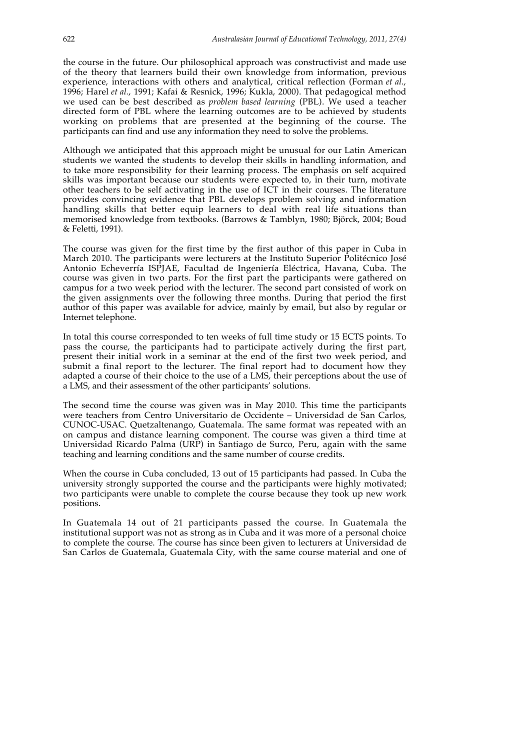the course in the future. Our philosophical approach was constructivist and made use of the theory that learners build their own knowledge from information, previous experience, interactions with others and analytical, critical reflection (Forman *et al.*, 1996; Harel *et al.*, 1991; Kafai & Resnick, 1996; Kukla, 2000). That pedagogical method we used can be best described as *problem based learning* (PBL). We used a teacher directed form of PBL where the learning outcomes are to be achieved by students working on problems that are presented at the beginning of the course. The participants can find and use any information they need to solve the problems.

Although we anticipated that this approach might be unusual for our Latin American students we wanted the students to develop their skills in handling information, and to take more responsibility for their learning process. The emphasis on self acquired skills was important because our students were expected to, in their turn, motivate other teachers to be self activating in the use of ICT in their courses. The literature provides convincing evidence that PBL develops problem solving and information handling skills that better equip learners to deal with real life situations than memorised knowledge from textbooks. (Barrows & Tamblyn, 1980; Björck, 2004; Boud & Feletti, 1991).

The course was given for the first time by the first author of this paper in Cuba in March 2010. The participants were lecturers at the Instituto Superior Politécnico José Antonio Echeverría ISPJAE, Facultad de Ingeniería Eléctrica, Havana, Cuba. The course was given in two parts. For the first part the participants were gathered on campus for a two week period with the lecturer. The second part consisted of work on the given assignments over the following three months. During that period the first author of this paper was available for advice, mainly by email, but also by regular or Internet telephone.

In total this course corresponded to ten weeks of full time study or 15 ECTS points. To pass the course, the participants had to participate actively during the first part, present their initial work in a seminar at the end of the first two week period, and submit a final report to the lecturer. The final report had to document how they adapted a course of their choice to the use of a LMS, their perceptions about the use of a LMS, and their assessment of the other participants' solutions.

The second time the course was given was in May 2010. This time the participants were teachers from Centro Universitario de Occidente – Universidad de San Carlos, CUNOC-USAC. Quetzaltenango, Guatemala. The same format was repeated with an on campus and distance learning component. The course was given a third time at Universidad Ricardo Palma (URP) in Santiago de Surco, Peru, again with the same teaching and learning conditions and the same number of course credits.

When the course in Cuba concluded, 13 out of 15 participants had passed. In Cuba the university strongly supported the course and the participants were highly motivated; two participants were unable to complete the course because they took up new work positions.

In Guatemala 14 out of 21 participants passed the course. In Guatemala the institutional support was not as strong as in Cuba and it was more of a personal choice to complete the course. The course has since been given to lecturers at Universidad de San Carlos de Guatemala, Guatemala City, with the same course material and one of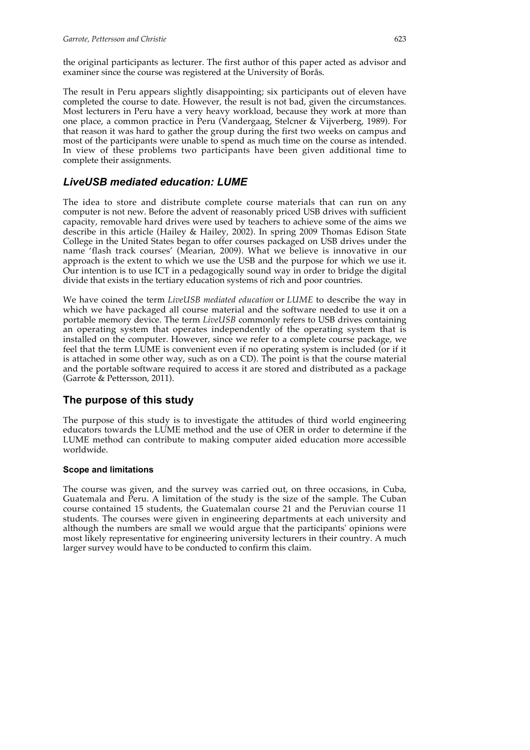the original participants as lecturer. The first author of this paper acted as advisor and examiner since the course was registered at the University of Borås.

The result in Peru appears slightly disappointing; six participants out of eleven have completed the course to date. However, the result is not bad, given the circumstances. Most lecturers in Peru have a very heavy workload, because they work at more than one place, a common practice in Peru (Vandergaag, Stelcner & Vijverberg, 1989). For that reason it was hard to gather the group during the first two weeks on campus and most of the participants were unable to spend as much time on the course as intended. In view of these problems two participants have been given additional time to complete their assignments.

## *LiveUSB mediated education: LUME*

The idea to store and distribute complete course materials that can run on any computer is not new. Before the advent of reasonably priced USB drives with sufficient capacity, removable hard drives were used by teachers to achieve some of the aims we describe in this article (Hailey & Hailey, 2002). In spring 2009 Thomas Edison State College in the United States began to offer courses packaged on USB drives under the name 'flash track courses' (Mearian, 2009). What we believe is innovative in our approach is the extent to which we use the USB and the purpose for which we use it. Our intention is to use ICT in a pedagogically sound way in order to bridge the digital divide that exists in the tertiary education systems of rich and poor countries.

We have coined the term *LiveUSB mediated education* or *LUME* to describe the way in which we have packaged all course material and the software needed to use it on a portable memory device. The term *LiveUSB* commonly refers to USB drives containing an operating system that operates independently of the operating system that is installed on the computer. However, since we refer to a complete course package, we feel that the term LUME is convenient even if no operating system is included (or if it is attached in some other way, such as on a CD). The point is that the course material and the portable software required to access it are stored and distributed as a package (Garrote & Pettersson, 2011).

## **The purpose of this study**

The purpose of this study is to investigate the attitudes of third world engineering educators towards the LUME method and the use of OER in order to determine if the LUME method can contribute to making computer aided education more accessible worldwide.

## **Scope and limitations**

The course was given, and the survey was carried out, on three occasions, in Cuba, Guatemala and Peru. A limitation of the study is the size of the sample. The Cuban course contained 15 students, the Guatemalan course 21 and the Peruvian course 11 students. The courses were given in engineering departments at each university and although the numbers are small we would argue that the participants' opinions were most likely representative for engineering university lecturers in their country. A much larger survey would have to be conducted to confirm this claim.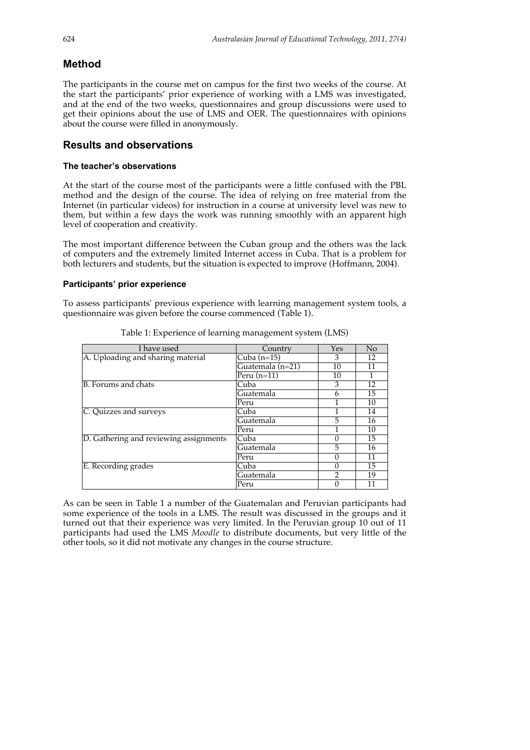## **Method**

The participants in the course met on campus for the first two weeks of the course. At the start the participants' prior experience of working with a LMS was investigated, and at the end of the two weeks, questionnaires and group discussions were used to get their opinions about the use of LMS and OER. The questionnaires with opinions about the course were filled in anonymously.

## **Results and observations**

### **The teacher's observations**

At the start of the course most of the participants were a little confused with the PBL method and the design of the course. The idea of relying on free material from the Internet (in particular videos) for instruction in a course at university level was new to them, but within a few days the work was running smoothly with an apparent high level of cooperation and creativity.

The most important difference between the Cuban group and the others was the lack of computers and the extremely limited Internet access in Cuba. That is a problem for both lecturers and students, but the situation is expected to improve (Hoffmann, 2004).

### **Participants' prior experience**

To assess participants' previous experience with learning management system tools, a questionnaire was given before the course commenced (Table 1).

| I have used                            | Country          | Yes | N <sub>o</sub> |
|----------------------------------------|------------------|-----|----------------|
| A. Uploading and sharing material      | Cuba $(n=15)$    | 3   | 12             |
|                                        | Guatemala (n=21) | 10  | 11             |
|                                        | Peru $(n=11)$    | 10  |                |
| B. Forums and chats<br>Cuba            |                  | 3   | 12             |
|                                        | Guatemala        | 6   | 15             |
|                                        | Peru             |     | 10             |
| C. Quizzes and surveys                 | Cuba             |     | 14             |
|                                        | Guatemala        | 5   | 16             |
|                                        | Peru             |     | 10             |
| D. Gathering and reviewing assignments | Cuba             |     | 15             |
|                                        | Guatemala        | 5   | 16             |
|                                        | Peru             |     | 11             |
| E. Recording grades                    | Cuba             |     | 15             |
|                                        | Guatemala        | າ   | 19             |
|                                        | Peru             |     | 11             |

Table 1: Experience of learning management system (LMS)

As can be seen in Table 1 a number of the Guatemalan and Peruvian participants had some experience of the tools in a LMS. The result was discussed in the groups and it turned out that their experience was very limited. In the Peruvian group 10 out of 11 participants had used the LMS *Moodle* to distribute documents, but very little of the other tools, so it did not motivate any changes in the course structure.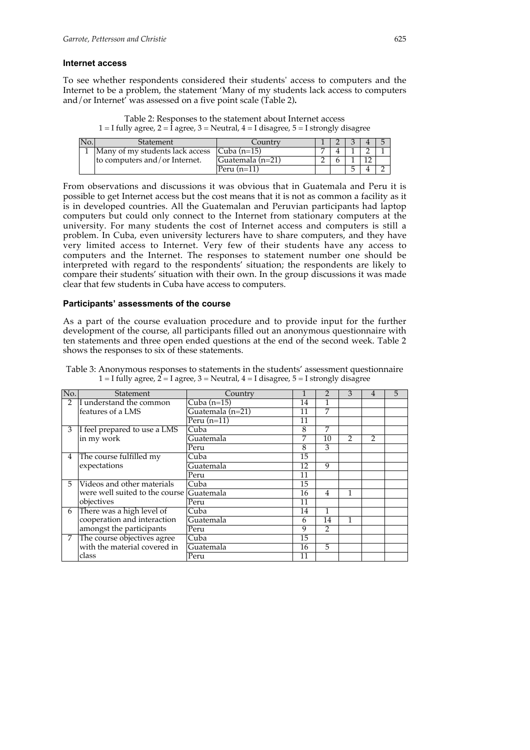#### **Internet access**

To see whether respondents considered their students' access to computers and the Internet to be a problem, the statement 'Many of my students lack access to computers and/or Internet' was assessed on a five point scale (Table 2)**.**

Table 2: Responses to the statement about Internet access 1 = I fully agree, 2 =  $\hat{I}$  agree, 3 = Neutral, 4 = I disagree, 5 = I strongly disagree

| Statement                                           | .ountry       |  |  |  |
|-----------------------------------------------------|---------------|--|--|--|
| Many of my students lack access $\vert$ Cuba (n=15) |               |  |  |  |
| Ito computers and/or Internet.<br> Guatemala (n=21) |               |  |  |  |
|                                                     | Peru $(n=11)$ |  |  |  |

From observations and discussions it was obvious that in Guatemala and Peru it is possible to get Internet access but the cost means that it is not as common a facility as it is in developed countries. All the Guatemalan and Peruvian participants had laptop computers but could only connect to the Internet from stationary computers at the university. For many students the cost of Internet access and computers is still a problem. In Cuba, even university lecturers have to share computers, and they have very limited access to Internet. Very few of their students have any access to computers and the Internet. The responses to statement number one should be interpreted with regard to the respondents' situation; the respondents are likely to compare their students' situation with their own. In the group discussions it was made clear that few students in Cuba have access to computers.

#### **Participants' assessments of the course**

As a part of the course evaluation procedure and to provide input for the further development of the course, all participants filled out an anonymous questionnaire with ten statements and three open ended questions at the end of the second week. Table 2 shows the responses to six of these statements.

| No.           | Statement                      | Country          |    |                | 3              |               | 5 |
|---------------|--------------------------------|------------------|----|----------------|----------------|---------------|---|
| $\mathcal{P}$ | I understand the common        | Cuba $(n=15)$    | 14 |                |                |               |   |
|               | features of a LMS              | Guatemala (n=21) | 11 | 7              |                |               |   |
|               |                                | Peru $(n=11)$    | 11 |                |                |               |   |
| 3             | I feel prepared to use a LMS   | Cuba             | 8  | 7              |                |               |   |
|               | in my work                     | Guatemala        | 7  | 10             | $\mathfrak{D}$ | $\mathcal{P}$ |   |
|               |                                | Peru             | 8  | 3              |                |               |   |
| 4             | The course fulfilled my        | Cuba             | 15 |                |                |               |   |
|               | expectations                   | Guatemala        | 12 | 9              |                |               |   |
|               |                                | Peru             | 11 |                |                |               |   |
| 5.            | Videos and other materials     | Cuba             | 15 |                |                |               |   |
|               | were well suited to the course | Guatemala        | 16 | $\overline{4}$ | 1              |               |   |
|               | objectives                     | Peru             | 11 |                |                |               |   |
| 6             | There was a high level of      | Cuba             | 14 | 1              |                |               |   |
|               | cooperation and interaction    | Guatemala        | 6  | 14             | 1              |               |   |
|               | amongst the participants       | Peru             | 9  | $\mathfrak{D}$ |                |               |   |
| 7             | The course objectives agree    | Cuba             | 15 |                |                |               |   |
|               | with the material covered in   | Guatemala        | 16 | 5              |                |               |   |
|               | class                          | Peru             | 11 |                |                |               |   |

Table 3: Anonymous responses to statements in the students' assessment questionnaire 1 = I fully agree,  $2 = I$  agree, 3 = Neutral, 4 = I disagree, 5 = I strongly disagree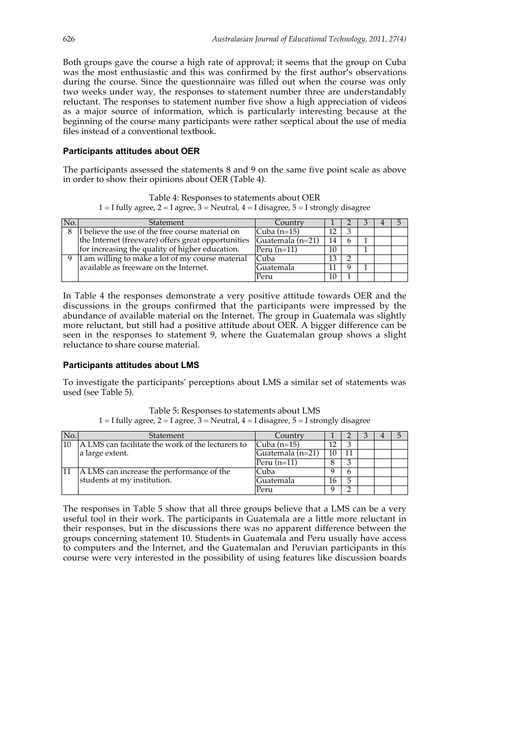Both groups gave the course a high rate of approval; it seems that the group on Cuba was the most enthusiastic and this was confirmed by the first author's observations during the course. Since the questionnaire was filled out when the course was only two weeks under way, the responses to statement number three are understandably reluctant. The responses to statement number five show a high appreciation of videos as a major source of information, which is particularly interesting because at the beginning of the course many participants were rather sceptical about the use of media files instead of a conventional textbook.

#### **Participants attitudes about OER**

The participants assessed the statements 8 and 9 on the same five point scale as above in order to show their opinions about OER (Table 4).

Table 4: Responses to statements about OER 1 = I fully agree, 2 = I agree,  $3$  = Neutral, 4 = I disagree,  $5$  = I strongly disagree

| No. | Statement                                          | Country              |    |  |  |
|-----|----------------------------------------------------|----------------------|----|--|--|
| 8   | I believe the use of the free course material on   | $\text{Cuba}$ (n=15) |    |  |  |
|     | the Internet (freeware) offers great opportunities | Guatemala (n=21)     | 14 |  |  |
|     | for increasing the quality of higher education.    | Peru $(n=11)$        | 10 |  |  |
| 9   | I am willing to make a lot of my course material   | Cuba                 |    |  |  |
|     | available as freeware on the Internet.             | Guatemala            |    |  |  |
|     |                                                    | Peru                 | 10 |  |  |

In Table 4 the responses demonstrate a very positive attitude towards OER and the discussions in the groups confirmed that the participants were impressed by the abundance of available material on the Internet. The group in Guatemala was slightly more reluctant, but still had a positive attitude about OER. A bigger difference can be seen in the responses to statement 9, where the Guatemalan group shows a slight reluctance to share course material.

#### **Participants attitudes about LMS**

To investigate the participants' perceptions about LMS a similar set of statements was used (see Table 5).

| Table 5: Responses to statements about LMS |  |
|--------------------------------------------|--|
|--------------------------------------------|--|

1 = I fully agree, 2 = I agree,  $3$  = Neutral,  $4$  = I disagree,  $5$  = I strongly disagree

| No. | Statement                                         | Country          |    |   |  |  |
|-----|---------------------------------------------------|------------------|----|---|--|--|
| 10  | A LMS can facilitate the work of the lecturers to | Cuba $(n=15)$    | 12 |   |  |  |
|     | a large extent.                                   | Guatemala (n=21) | 10 |   |  |  |
|     |                                                   | Peru $(n=11)$    | Ω  |   |  |  |
|     | A LMS can increase the performance of the         | Cuba             |    | h |  |  |
|     | students at my institution.                       | Guatemala        | 16 | 5 |  |  |
|     |                                                   | Peru             |    |   |  |  |

The responses in Table 5 show that all three groups believe that a LMS can be a very useful tool in their work. The participants in Guatemala are a little more reluctant in their responses, but in the discussions there was no apparent difference between the groups concerning statement 10. Students in Guatemala and Peru usually have access to computers and the Internet, and the Guatemalan and Peruvian participants in this course were very interested in the possibility of using features like discussion boards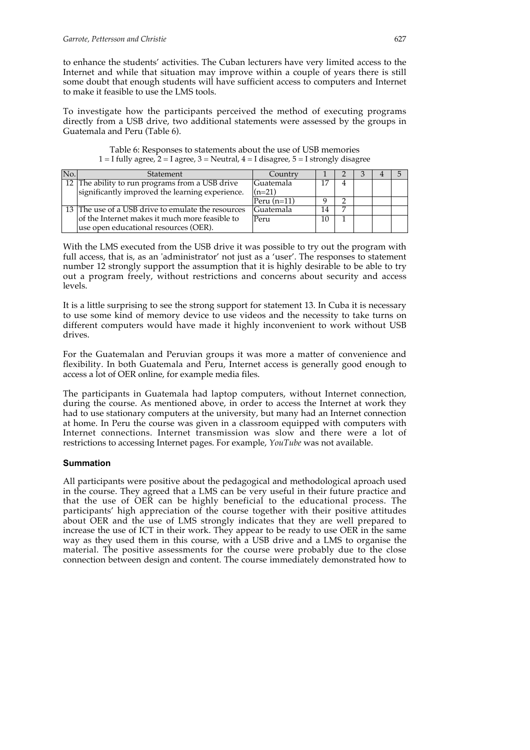to enhance the students' activities. The Cuban lecturers have very limited access to the Internet and while that situation may improve within a couple of years there is still some doubt that enough students will have sufficient access to computers and Internet to make it feasible to use the LMS tools.

To investigate how the participants perceived the method of executing programs directly from a USB drive, two additional statements were assessed by the groups in Guatemala and Peru (Table 6).

| No. | Statement                                          | Country       |    |  |  |
|-----|----------------------------------------------------|---------------|----|--|--|
|     | 12 The ability to run programs from a USB drive    | Guatemala     |    |  |  |
|     | significantly improved the learning experience.    | $(n=21)$      |    |  |  |
|     |                                                    | Peru $(n=11)$ |    |  |  |
|     | 13 The use of a USB drive to emulate the resources | Guatemala     | 14 |  |  |
|     | of the Internet makes it much more feasible to     | Peru          |    |  |  |
|     | use open educational resources (OER).              |               |    |  |  |

Table 6: Responses to statements about the use of USB memories 1 = I fully agree,  $2 = I$  agree,  $3 = Neutral$ ,  $4 = I$  disagree,  $5 = I$  strongly disagree

With the LMS executed from the USB drive it was possible to try out the program with full access, that is, as an 'administrator' not just as a 'user'. The responses to statement number 12 strongly support the assumption that it is highly desirable to be able to try out a program freely, without restrictions and concerns about security and access levels.

It is a little surprising to see the strong support for statement 13. In Cuba it is necessary to use some kind of memory device to use videos and the necessity to take turns on different computers would have made it highly inconvenient to work without USB drives.

For the Guatemalan and Peruvian groups it was more a matter of convenience and flexibility. In both Guatemala and Peru, Internet access is generally good enough to access a lot of OER online, for example media files.

The participants in Guatemala had laptop computers, without Internet connection, during the course. As mentioned above, in order to access the Internet at work they had to use stationary computers at the university, but many had an Internet connection at home. In Peru the course was given in a classroom equipped with computers with Internet connections. Internet transmission was slow and there were a lot of restrictions to accessing Internet pages. For example, *YouTube* was not available.

### **Summation**

All participants were positive about the pedagogical and methodological aproach used in the course. They agreed that a LMS can be very useful in their future practice and that the use of OER can be highly beneficial to the educational process. The participants' high appreciation of the course together with their positive attitudes about OER and the use of LMS strongly indicates that they are well prepared to increase the use of ICT in their work. They appear to be ready to use OER in the same way as they used them in this course, with a USB drive and a LMS to organise the material. The positive assessments for the course were probably due to the close connection between design and content. The course immediately demonstrated how to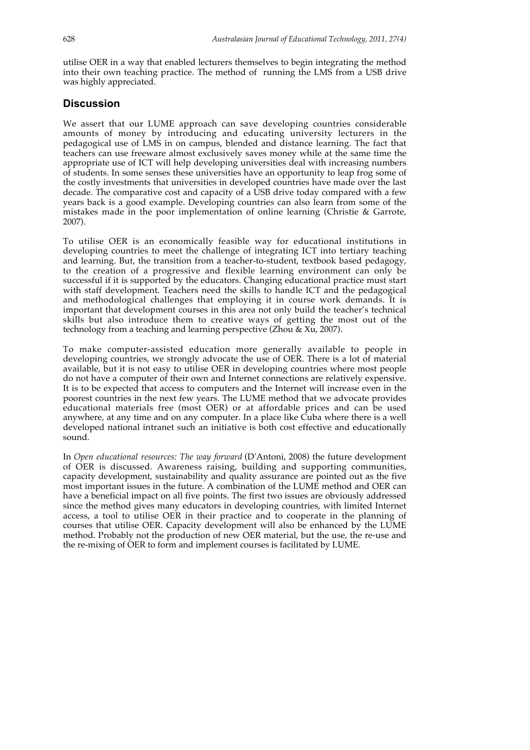utilise OER in a way that enabled lecturers themselves to begin integrating the method into their own teaching practice. The method of running the LMS from a USB drive was highly appreciated.

## **Discussion**

We assert that our LUME approach can save developing countries considerable amounts of money by introducing and educating university lecturers in the pedagogical use of LMS in on campus, blended and distance learning. The fact that teachers can use freeware almost exclusively saves money while at the same time the appropriate use of ICT will help developing universities deal with increasing numbers of students. In some senses these universities have an opportunity to leap frog some of the costly investments that universities in developed countries have made over the last decade. The comparative cost and capacity of a USB drive today compared with a few years back is a good example. Developing countries can also learn from some of the mistakes made in the poor implementation of online learning (Christie  $\&$  Garrote, 2007).

To utilise OER is an economically feasible way for educational institutions in developing countries to meet the challenge of integrating ICT into tertiary teaching and learning. But, the transition from a teacher-to-student, textbook based pedagogy, to the creation of a progressive and flexible learning environment can only be successful if it is supported by the educators. Changing educational practice must start with staff development. Teachers need the skills to handle ICT and the pedagogical and methodological challenges that employing it in course work demands. It is important that development courses in this area not only build the teacher's technical skills but also introduce them to creative ways of getting the most out of the technology from a teaching and learning perspective (Zhou & Xu, 2007).

To make computer-assisted education more generally available to people in developing countries, we strongly advocate the use of OER. There is a lot of material available, but it is not easy to utilise OER in developing countries where most people do not have a computer of their own and Internet connections are relatively expensive. It is to be expected that access to computers and the Internet will increase even in the poorest countries in the next few years. The LUME method that we advocate provides educational materials free (most OER) or at affordable prices and can be used anywhere, at any time and on any computer. In a place like Cuba where there is a well developed national intranet such an initiative is both cost effective and educationally sound.

In *Open educational resources: The way forward* (D'Antoni, 2008) the future development of OER is discussed. Awareness raising, building and supporting communities, capacity development, sustainability and quality assurance are pointed out as the five most important issues in the future. A combination of the LUME method and OER can have a beneficial impact on all five points. The first two issues are obviously addressed since the method gives many educators in developing countries, with limited Internet access, a tool to utilise OER in their practice and to cooperate in the planning of courses that utilise OER. Capacity development will also be enhanced by the LUME method. Probably not the production of new OER material, but the use, the re-use and the re-mixing of OER to form and implement courses is facilitated by LUME.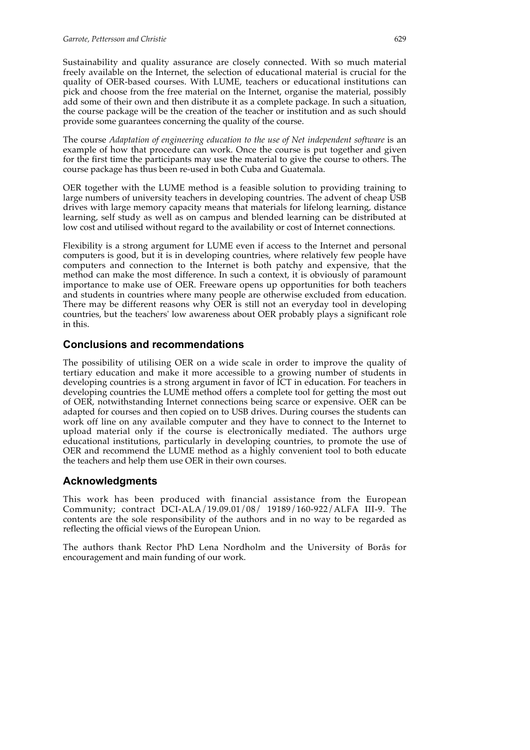Sustainability and quality assurance are closely connected. With so much material freely available on the Internet, the selection of educational material is crucial for the quality of OER-based courses. With LUME, teachers or educational institutions can pick and choose from the free material on the Internet, organise the material, possibly add some of their own and then distribute it as a complete package. In such a situation, the course package will be the creation of the teacher or institution and as such should provide some guarantees concerning the quality of the course.

The course *Adaptation of engineering education to the use of Net independent software* is an example of how that procedure can work. Once the course is put together and given for the first time the participants may use the material to give the course to others. The course package has thus been re-used in both Cuba and Guatemala.

OER together with the LUME method is a feasible solution to providing training to large numbers of university teachers in developing countries. The advent of cheap USB drives with large memory capacity means that materials for lifelong learning, distance learning, self study as well as on campus and blended learning can be distributed at low cost and utilised without regard to the availability or cost of Internet connections.

Flexibility is a strong argument for LUME even if access to the Internet and personal computers is good, but it is in developing countries, where relatively few people have computers and connection to the Internet is both patchy and expensive, that the method can make the most difference. In such a context, it is obviously of paramount importance to make use of OER. Freeware opens up opportunities for both teachers and students in countries where many people are otherwise excluded from education. There may be different reasons why OER is still not an everyday tool in developing countries, but the teachers' low awareness about OER probably plays a significant role in this.

## **Conclusions and recommendations**

The possibility of utilising OER on a wide scale in order to improve the quality of tertiary education and make it more accessible to a growing number of students in developing countries is a strong argument in favor of ICT in education. For teachers in developing countries the LUME method offers a complete tool for getting the most out of OER, notwithstanding Internet connections being scarce or expensive. OER can be adapted for courses and then copied on to USB drives. During courses the students can work off line on any available computer and they have to connect to the Internet to upload material only if the course is electronically mediated. The authors urge educational institutions, particularly in developing countries, to promote the use of OER and recommend the LUME method as a highly convenient tool to both educate the teachers and help them use OER in their own courses.

## **Acknowledgments**

This work has been produced with financial assistance from the European Community; contract DCI-ALA/19.09.01/08/ 19189/160-922/ALFA III-9. The contents are the sole responsibility of the authors and in no way to be regarded as reflecting the official views of the European Union.

The authors thank Rector PhD Lena Nordholm and the University of Borås for encouragement and main funding of our work.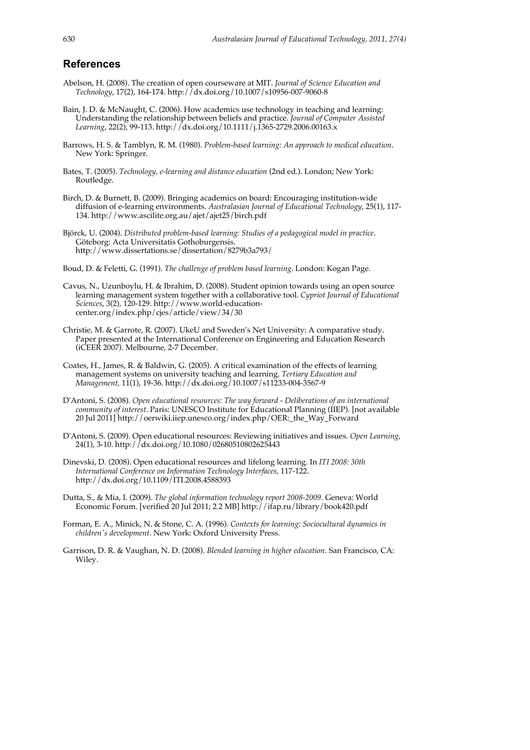## **References**

- Abelson, H. (2008). The creation of open courseware at MIT. *Journal of Science Education and Technology*, 17(2), 164-174. http://dx.doi.org/10.1007/s10956-007-9060-8
- Bain, J. D. & McNaught, C. (2006). How academics use technology in teaching and learning: Understanding the relationship between beliefs and practice. *Journal of Computer Assisted Learning*, 22(2), 99-113. http://dx.doi.org/10.1111/j.1365-2729.2006.00163.x
- Barrows, H. S. & Tamblyn, R. M. (1980). *Problem-based learning: An approach to medical education*. New York: Springer.
- Bates, T. (2005). *Technology, e-learning and distance education* (2nd ed.). London; New York: Routledge.
- Birch, D. & Burnett, B. (2009). Bringing academics on board: Encouraging institution-wide diffusion of e-learning environments. *Australasian Journal of Educational Technology*, 25(1), 117- 134. http://www.ascilite.org.au/ajet/ajet25/birch.pdf
- Björck, U. (2004). *Distributed problem-based learning: Studies of a pedagogical model in practice*. Göteborg: Acta Universitatis Gothoburgensis. http://www.dissertations.se/dissertation/8279b3a793/
- Boud, D. & Feletti, G. (1991). *The challenge of problem based learning*. London: Kogan Page.
- Cavus, N., Uzunboylu, H. & Ibrahim, D. (2008). Student opinion towards using an open source learning management system together with a collaborative tool. *Cypriot Journal of Educational Sciences*, 3(2), 120-129. http://www.world-educationcenter.org/index.php/cjes/article/view/34/30
- Christie, M. & Garrote, R. (2007). UkeU and Sweden's Net University: A comparative study. Paper presented at the International Conference on Engineering and Education Research (iCEER 2007). Melbourne, 2-7 December.
- Coates, H., James, R. & Baldwin, G. (2005). A critical examination of the effects of learning management systems on university teaching and learning. *Tertiary Education and Management,* 11(1), 19-36. http://dx.doi.org/10.1007/s11233-004-3567-9
- D'Antoni, S. (2008). *Open educational resources: The way forward Deliberations of an international community of interest*. Paris: UNESCO Institute for Educational Planning (IIEP). [not available 20 Jul 2011] http://oerwiki.iiep.unesco.org/index.php/OER:\_the\_Way\_Forward
- D'Antoni, S. (2009). Open educational resources: Reviewing initiatives and issues. *Open Learning*, 24(1), 3-10. http://dx.doi.org/10.1080/02680510802625443
- Dinevski, D. (2008). Open educational resources and lifelong learning. In *ITI 2008: 30th International Conference on Information Technology Interfaces*, 117-122. http://dx.doi.org/10.1109/ITI.2008.4588393
- Dutta, S., & Mia, I. (2009). *The global information technology report 2008-2009*. Geneva: World Economic Forum. [verified 20 Jul 2011; 2.2 MB] http://ifap.ru/library/book420.pdf
- Forman, E. A., Minick, N. & Stone, C. A. (1996). *Contexts for learning: Sociocultural dynamics in children's development*. New York: Oxford University Press.
- Garrison, D. R. & Vaughan, N. D. (2008). *Blended learning in higher education*. San Francisco, CA: Wiley.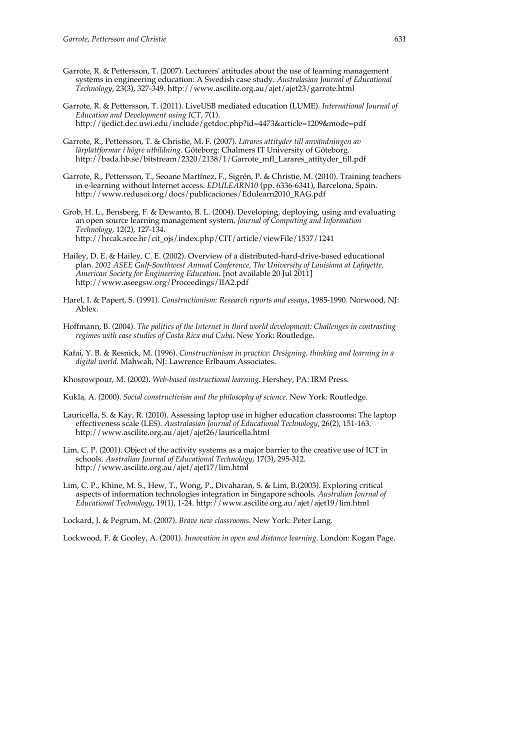- Garrote, R. & Pettersson, T. (2007). Lecturers' attitudes about the use of learning management systems in engineering education: A Swedish case study. *Australasian Journal of Educational Technology*, 23(3), 327-349. http://www.ascilite.org.au/ajet/ajet23/garrote.html
- Garrote, R. & Pettersson, T. (2011). LiveUSB mediated education (LUME). *International Journal of Education and Development using ICT*, 7(1). http://ijedict.dec.uwi.edu/include/getdoc.php?id=4473&article=1209&mode=pdf
- Garrote, R., Pettersson, T. & Christie, M. F. (2007). *Lärares attityder till användningen av lärplattformar i högre utbildning*. Göteborg: Chalmers IT University of Göteborg. http://bada.hb.se/bitstream/2320/2138/1/Garrote\_mfl\_Larares\_attityder\_till.pdf
- Garrote, R., Pettersson, T., Seoane Martínez, F., Sigrén, P. & Christie, M. (2010). Training teachers in e-learning without Internet access. *EDULEARN10* (pp. 6336-6341), Barcelona, Spain. http://www.redusoi.org/docs/publicaciones/Edulearn2010\_RAG.pdf
- Grob, H. L., Bensberg, F. & Dewanto, B. L. (2004). Developing, deploying, using and evaluating an open source learning management system. *Journal of Computing and Information Technology*, 12(2), 127-134. http://hrcak.srce.hr/cit\_ojs/index.php/CIT/article/viewFile/1537/1241
- Hailey, D. E. & Hailey, C. E. (2002). Overview of a distributed-hard-drive-based educational plan. *2002 ASEE Gulf-Southwest Annual Conference, The University of Louisiana at Lafayette, American Society for Engineering Education*. [not available 20 Jul 2011] http://www.aseegsw.org/Proceedings/IIA2.pdf
- Harel, I. & Papert, S. (1991). *Constructionism: Research reports and essays*, 1985-1990. Norwood, NJ: Ablex.
- Hoffmann, B. (2004). *The politics of the Internet in third world development: Challenges in contrasting regimes with case studies of Costa Rica and Cuba*. New York: Routledge.
- Kafai, Y. B. & Resnick, M. (1996). *Constructionism in practice: Designing, thinking and learning in a digital world*. Mahwah, NJ: Lawrence Erlbaum Associates.

Khosrowpour, M. (2002). *Web-based instructional learning*. Hershey, PA: IRM Press.

Kukla, A. (2000). *Social constructivism and the philosophy of science*. New York: Routledge.

- Lauricella, S. & Kay, R. (2010). Assessing laptop use in higher education classrooms: The laptop effectiveness scale (LES). *Australasian Journal of Educational Technology*, 26(2), 151-163. http://www.ascilite.org.au/ajet/ajet26/lauricella.html
- Lim, C. P. (2001). Object of the activity systems as a major barrier to the creative use of ICT in schools. *Australian Journal of Educational Technology*, 17(3), 295-312. http://www.ascilite.org.au/ajet/ajet17/lim.html
- Lim, C. P., Khine, M. S., Hew, T., Wong, P., Divaharan, S. & Lim, B.(2003). Exploring critical aspects of information technologies integration in Singapore schools. *Australian Journal of Educational Technology*, 19(1), 1-24. http://www.ascilite.org.au/ajet/ajet19/lim.html

Lockard, J. & Pegrum, M. (2007). *Brave new classrooms*. New York: Peter Lang.

Lockwood, F. & Gooley, A. (2001). *Innovation in open and distance learning*. London: Kogan Page.